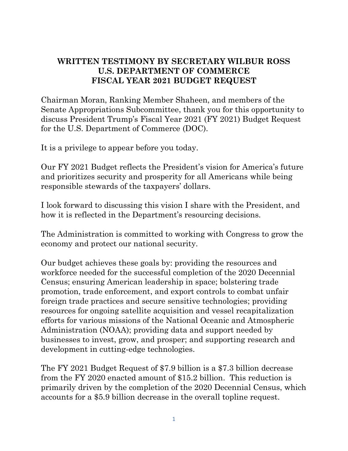## **WRITTEN TESTIMONY BY SECRETARY WILBUR ROSS U.S. DEPARTMENT OF COMMERCE FISCAL YEAR 2021 BUDGET REQUEST**

Chairman Moran, Ranking Member Shaheen, and members of the Senate Appropriations Subcommittee, thank you for this opportunity to discuss President Trump's Fiscal Year 2021 (FY 2021) Budget Request for the U.S. Department of Commerce (DOC).

It is a privilege to appear before you today.

Our FY 2021 Budget reflects the President's vision for America's future and prioritizes security and prosperity for all Americans while being responsible stewards of the taxpayers' dollars.

I look forward to discussing this vision I share with the President, and how it is reflected in the Department's resourcing decisions.

The Administration is committed to working with Congress to grow the economy and protect our national security.

Our budget achieves these goals by: providing the resources and workforce needed for the successful completion of the 2020 Decennial Census; ensuring American leadership in space; bolstering trade promotion, trade enforcement, and export controls to combat unfair foreign trade practices and secure sensitive technologies; providing resources for ongoing satellite acquisition and vessel recapitalization efforts for various missions of the National Oceanic and Atmospheric Administration (NOAA); providing data and support needed by businesses to invest, grow, and prosper; and supporting research and development in cutting-edge technologies.

The FY 2021 Budget Request of \$7.9 billion is a \$7.3 billion decrease from the FY 2020 enacted amount of \$15.2 billion. This reduction is primarily driven by the completion of the 2020 Decennial Census, which accounts for a \$5.9 billion decrease in the overall topline request.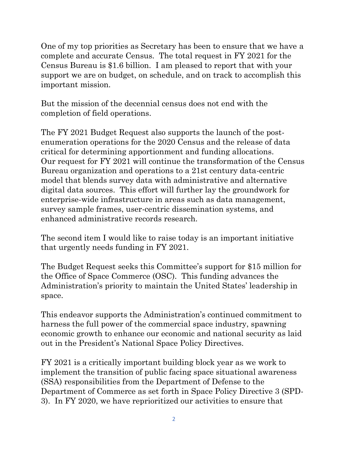One of my top priorities as Secretary has been to ensure that we have a complete and accurate Census. The total request in FY 2021 for the Census Bureau is \$1.6 billion. I am pleased to report that with your support we are on budget, on schedule, and on track to accomplish this important mission.

But the mission of the decennial census does not end with the completion of field operations.

The FY 2021 Budget Request also supports the launch of the postenumeration operations for the 2020 Census and the release of data critical for determining apportionment and funding allocations. Our request for FY 2021 will continue the transformation of the Census Bureau organization and operations to a 21st century data-centric model that blends survey data with administrative and alternative digital data sources. This effort will further lay the groundwork for enterprise-wide infrastructure in areas such as data management, survey sample frames, user-centric dissemination systems, and enhanced administrative records research.

The second item I would like to raise today is an important initiative that urgently needs funding in FY 2021.

The Budget Request seeks this Committee's support for \$15 million for the Office of Space Commerce (OSC). This funding advances the Administration's priority to maintain the United States' leadership in space.

This endeavor supports the Administration's continued commitment to harness the full power of the commercial space industry, spawning economic growth to enhance our economic and national security as laid out in the President's National Space Policy Directives.

FY 2021 is a critically important building block year as we work to implement the transition of public facing space situational awareness (SSA) responsibilities from the Department of Defense to the Department of Commerce as set forth in Space Policy Directive 3 (SPD-3). In FY 2020, we have reprioritized our activities to ensure that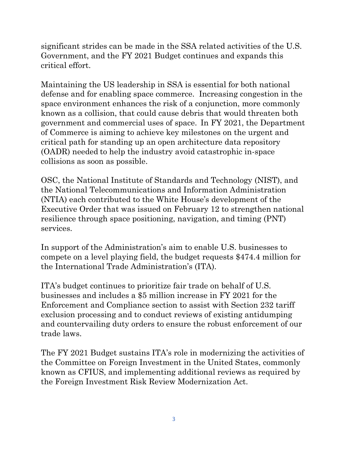significant strides can be made in the SSA related activities of the U.S. Government, and the FY 2021 Budget continues and expands this critical effort.

Maintaining the US leadership in SSA is essential for both national defense and for enabling space commerce. Increasing congestion in the space environment enhances the risk of a conjunction, more commonly known as a collision, that could cause debris that would threaten both government and commercial uses of space. In FY 2021, the Department of Commerce is aiming to achieve key milestones on the urgent and critical path for standing up an open architecture data repository (OADR) needed to help the industry avoid catastrophic in-space collisions as soon as possible.

OSC, the National Institute of Standards and Technology (NIST), and the National Telecommunications and Information Administration (NTIA) each contributed to the White House's development of the Executive Order that was issued on February 12 to strengthen national resilience through space positioning, navigation, and timing (PNT) services.

In support of the Administration's aim to enable U.S. businesses to compete on a level playing field, the budget requests \$474.4 million for the International Trade Administration's (ITA).

ITA's budget continues to prioritize fair trade on behalf of U.S. businesses and includes a \$5 million increase in FY 2021 for the Enforcement and Compliance section to assist with Section 232 tariff exclusion processing and to conduct reviews of existing antidumping and countervailing duty orders to ensure the robust enforcement of our trade laws.

The FY 2021 Budget sustains ITA's role in modernizing the activities of the Committee on Foreign Investment in the United States, commonly known as CFIUS, and implementing additional reviews as required by the Foreign Investment Risk Review Modernization Act.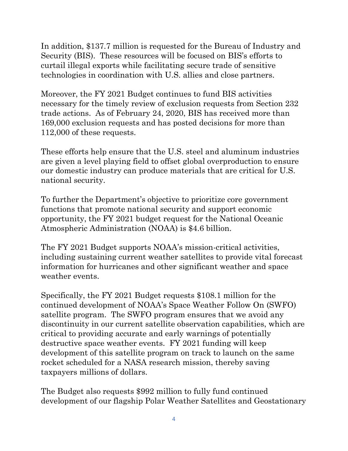In addition, \$137.7 million is requested for the Bureau of Industry and Security (BIS). These resources will be focused on BIS's efforts to curtail illegal exports while facilitating secure trade of sensitive technologies in coordination with U.S. allies and close partners.

Moreover, the FY 2021 Budget continues to fund BIS activities necessary for the timely review of exclusion requests from Section 232 trade actions. As of February 24, 2020, BIS has received more than 169,000 exclusion requests and has posted decisions for more than 112,000 of these requests.

These efforts help ensure that the U.S. steel and aluminum industries are given a level playing field to offset global overproduction to ensure our domestic industry can produce materials that are critical for U.S. national security.

To further the Department's objective to prioritize core government functions that promote national security and support economic opportunity, the FY 2021 budget request for the National Oceanic Atmospheric Administration (NOAA) is \$4.6 billion.

The FY 2021 Budget supports NOAA's mission-critical activities, including sustaining current weather satellites to provide vital forecast information for hurricanes and other significant weather and space weather events.

Specifically, the FY 2021 Budget requests \$108.1 million for the continued development of NOAA's Space Weather Follow On (SWFO) satellite program. The SWFO program ensures that we avoid any discontinuity in our current satellite observation capabilities, which are critical to providing accurate and early warnings of potentially destructive space weather events. FY 2021 funding will keep development of this satellite program on track to launch on the same rocket scheduled for a NASA research mission, thereby saving taxpayers millions of dollars.

The Budget also requests \$992 million to fully fund continued development of our flagship Polar Weather Satellites and Geostationary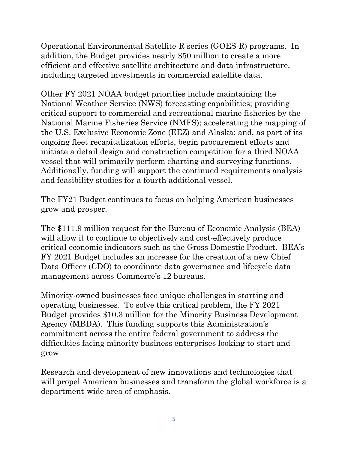Operational Environmental Satellite-R series (GOES-R) programs. In addition, the Budget provides nearly \$50 million to create a more efficient and effective satellite architecture and data infrastructure, including targeted investments in commercial satellite data.

Other FY 2021 NOAA budget priorities include maintaining the National Weather Service (NWS) forecasting capabilities; providing critical support to commercial and recreational marine fisheries by the National Marine Fisheries Service (NMFS); accelerating the mapping of the U.S. Exclusive Economic Zone (EEZ) and Alaska; and, as part of its ongoing fleet recapitalization efforts, begin procurement efforts and initiate a detail design and construction competition for a third NOAA vessel that will primarily perform charting and surveying functions. Additionally, funding will support the continued requirements analysis and feasibility studies for a fourth additional vessel.

The FY21 Budget continues to focus on helping American businesses grow and prosper.

The \$111.9 million request for the Bureau of Economic Analysis (BEA) will allow it to continue to objectively and cost-effectively produce critical economic indicators such as the Gross Domestic Product. BEA's FY 2021 Budget includes an increase for the creation of a new Chief Data Officer (CDO) to coordinate data governance and lifecycle data management across Commerce's 12 bureaus.

Minority-owned businesses face unique challenges in starting and operating businesses. To solve this critical problem, the FY 2021 Budget provides \$10.3 million for the Minority Business Development Agency (MBDA). This funding supports this Administration's commitment across the entire federal government to address the difficulties facing minority business enterprises looking to start and grow.

Research and development of new innovations and technologies that will propel American businesses and transform the global workforce is a department-wide area of emphasis.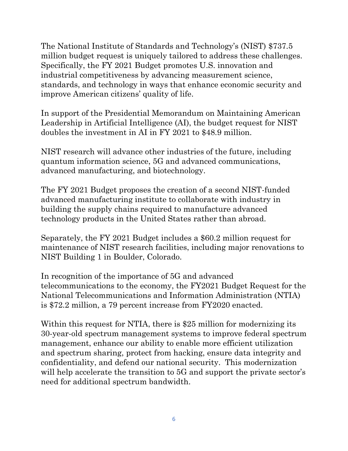The National Institute of Standards and Technology's (NIST) \$737.5 million budget request is uniquely tailored to address these challenges. Specifically, the FY 2021 Budget promotes U.S. innovation and industrial competitiveness by advancing measurement science, standards, and technology in ways that enhance economic security and improve American citizens' quality of life.

In support of the Presidential Memorandum on Maintaining American Leadership in Artificial Intelligence (AI), the budget request for NIST doubles the investment in AI in FY 2021 to \$48.9 million.

NIST research will advance other industries of the future, including quantum information science, 5G and advanced communications, advanced manufacturing, and biotechnology.

The FY 2021 Budget proposes the creation of a second NIST-funded advanced manufacturing institute to collaborate with industry in building the supply chains required to manufacture advanced technology products in the United States rather than abroad.

Separately, the FY 2021 Budget includes a \$60.2 million request for maintenance of NIST research facilities, including major renovations to NIST Building 1 in Boulder, Colorado.

In recognition of the importance of 5G and advanced telecommunications to the economy, the FY2021 Budget Request for the National Telecommunications and Information Administration (NTIA) is \$72.2 million, a 79 percent increase from FY2020 enacted.

Within this request for NTIA, there is \$25 million for modernizing its 30-year-old spectrum management systems to improve federal spectrum management, enhance our ability to enable more efficient utilization and spectrum sharing, protect from hacking, ensure data integrity and confidentiality, and defend our national security. This modernization will help accelerate the transition to 5G and support the private sector's need for additional spectrum bandwidth.